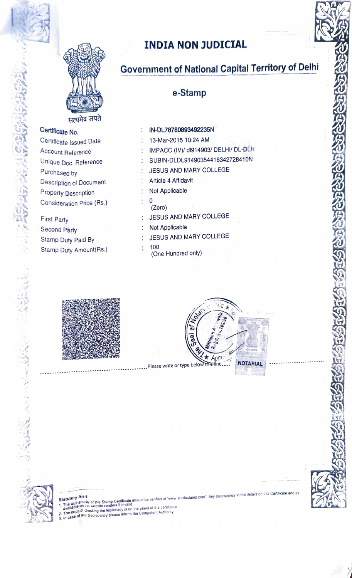

Certificate No.

Purchased by

First Party

Second Party

Certificate Issued Date

Unique Doc. Reference

Description of Document

Consideration Price (Rs.)

Property Description

Stamp Duty Paid By

Stamp Duty Amount(Rs.)

Account Reference

### **INDIA NON JUDICIAL**

# Government of National Capital Territory of Delhi

#### e-Stamp

- IN-DL78780893492235N  $\mathcal{F}_\mathrm{c}$
- 13-Mar-2015 10:24 AM
- IMPACC (IV)/ dl914903/ DELHI/ DL-DLH
- SUBIN-DLDL91490354418342728410N
- JESUS AND MARY COLLEGE
- Article 4 Affidavit
- Not Applicable
- $\Omega$ (Zero)
- JESUS AND MARY COLLEGE
- Not Applicable
- : JESUS AND MARY COLLEGE
- 100 ÷
	- (One Hundred only)
- 

Appo 

**NOTARIAL** 



atutory <u>chenes</u><br>The authenticity of this Stamp Certificate should be verified at "www.shcilestamp.com". Any discrepancy in the details on this Certificate and as<br>available on the website renders it invalid.<br>The grups of c **Statutory Alert**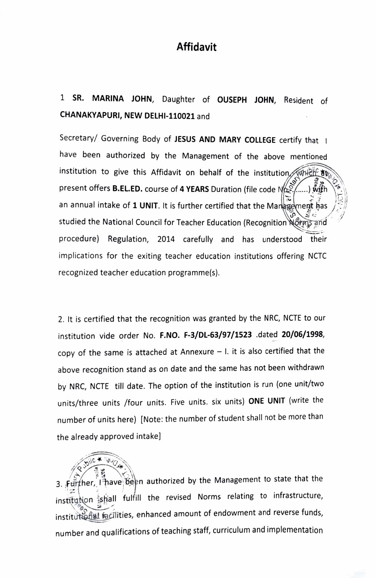#### Affidavit

## 1 SR. MARINA JOHN, Daughter of oUSEPH JOHN, Resident of CHANAKYAPURI, NEw DELHI-110021 and

Secretary/ Governing Body of JESUS AND MARY COLLEGE certify that I have been authorized by the Management of the above mentioned institution to give this Affidavit on behalf of the institution present offers **B.EL.ED.** course of 4 YEARS Duration (file code  $N_{\text{th}}$ ) an annual intake of 1 UNIT. It is further certified that the Markement has studied the National Council for Teacher Education (Recognition Norm procedure) Regulation, 2014 carefully and has understood their implications for the exiting teacher education institutions offering NCTC recognized teacher education programme(s).

2. It is certified that the recognition was granted by the NRC, NCTE to our institution vide order No. F.NO. F-3/DL-63/97/1523 .dated 20/06/1998, copy of the same is attached at Annexure  $-1$ . it is also certified that the above recognition stand as on date and the same has not been withdrawn by NRC, NCTE till date. The option of the institution is run (one unit/two units/three units /four units. Five units. six units) ONE UNIT (write the number of units here) [Note: the number of student shall not be more than the already approved intake]

3. Further, 19 have been authorized by the Management to state that the institution shall fulfill the revised Norms relating to infrastructure, institutions facilities, enhanced amount of endowment and reverse funds, number and qualifications of teaching staff, curriculum and implementation

 $\sqrt{\text{price}}$